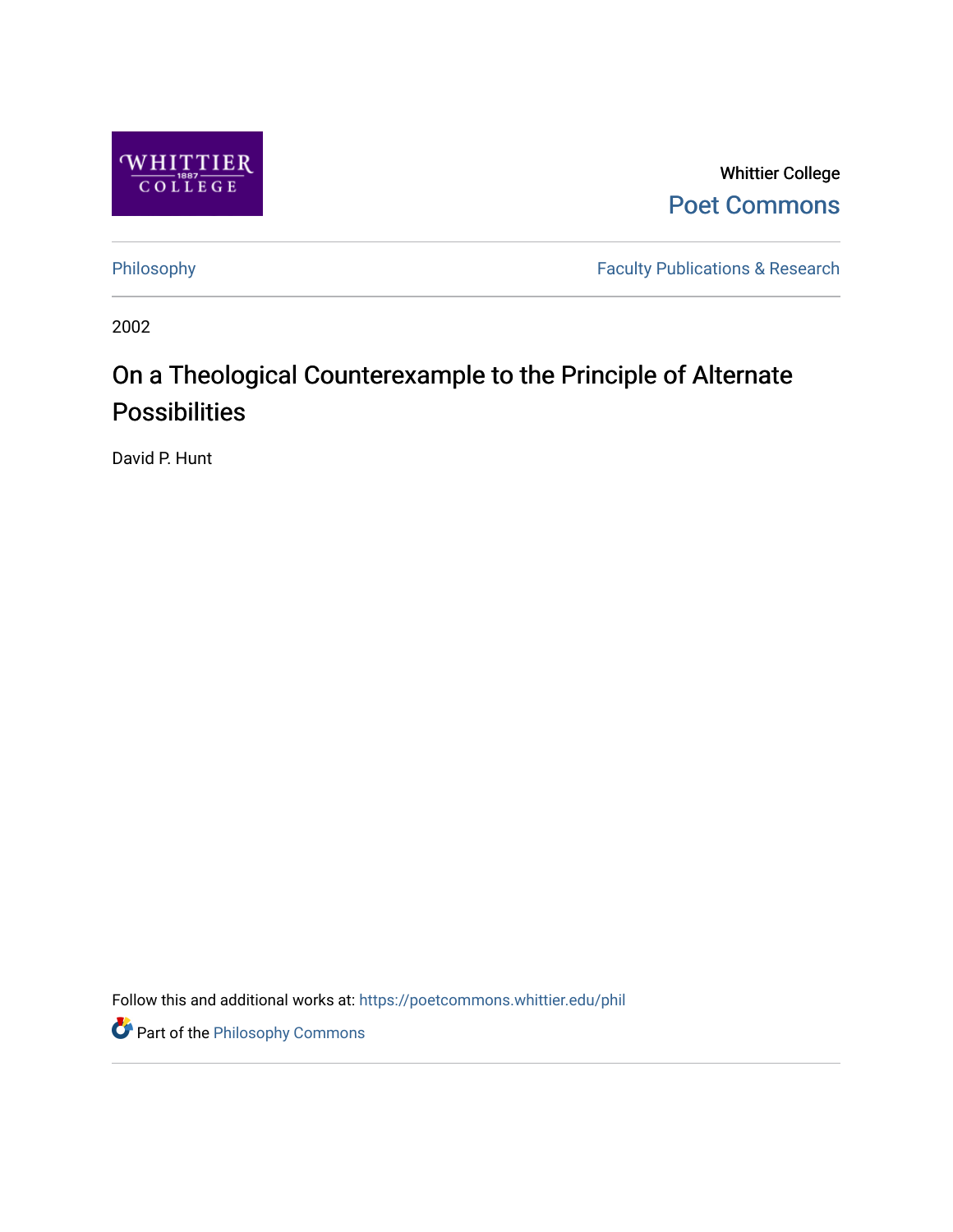

Whittier College [Poet Commons](https://poetcommons.whittier.edu/) 

[Philosophy](https://poetcommons.whittier.edu/phil) **Faculty Publications & Research** 

2002

# On a Theological Counterexample to the Principle of Alternate Possibilities

David P. Hunt

Follow this and additional works at: [https://poetcommons.whittier.edu/phil](https://poetcommons.whittier.edu/phil?utm_source=poetcommons.whittier.edu%2Fphil%2F9&utm_medium=PDF&utm_campaign=PDFCoverPages)

**Part of the Philosophy Commons**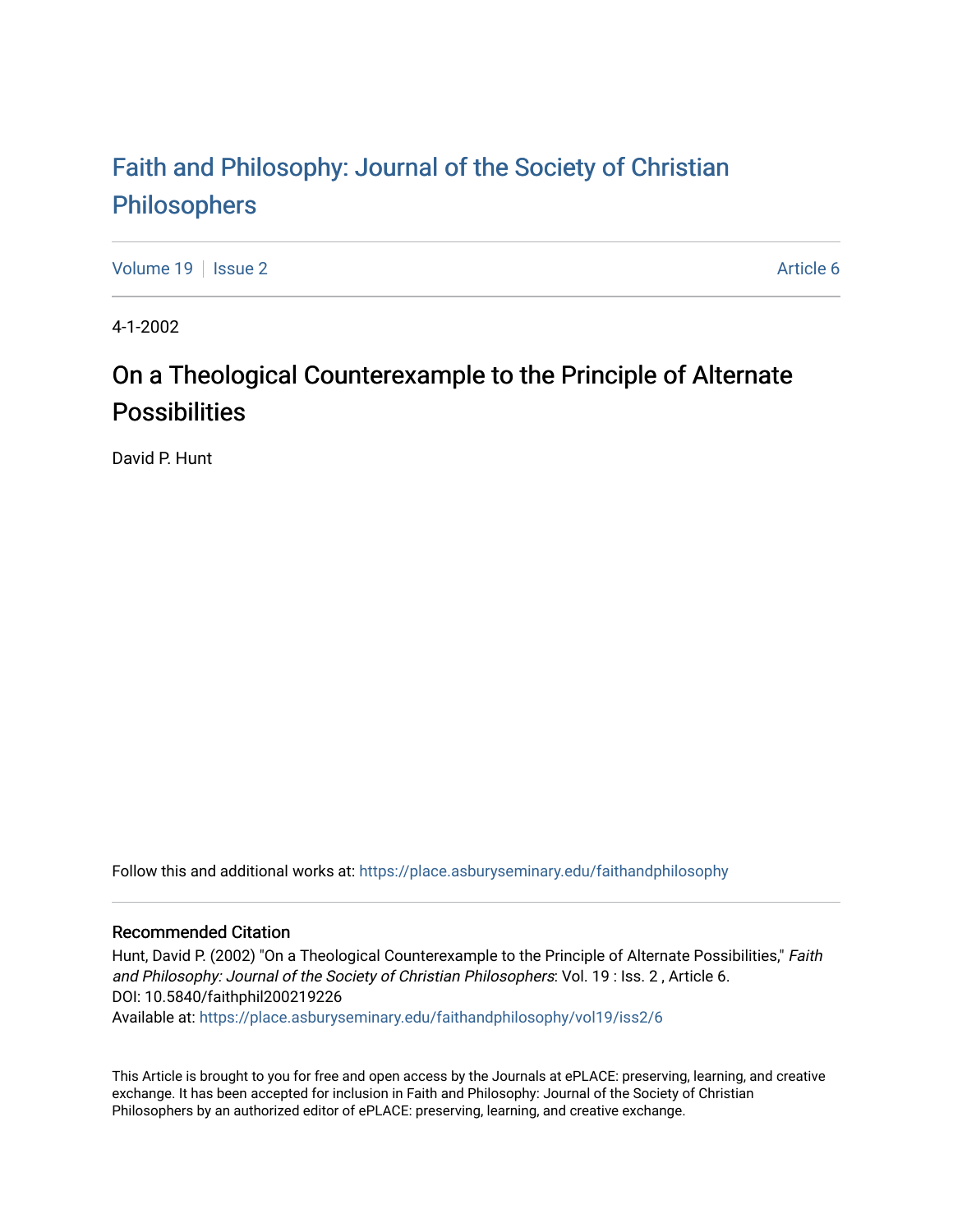## [Faith and Philosophy: Journal of the Society of Christian](https://place.asburyseminary.edu/faithandphilosophy)  [Philosophers](https://place.asburyseminary.edu/faithandphilosophy)

[Volume 19](https://place.asburyseminary.edu/faithandphilosophy/vol19) | [Issue 2](https://place.asburyseminary.edu/faithandphilosophy/vol19/iss2) Article 6

4-1-2002

### On a Theological Counterexample to the Principle of Alternate **Possibilities**

David P. Hunt

Follow this and additional works at: [https://place.asburyseminary.edu/faithandphilosophy](https://place.asburyseminary.edu/faithandphilosophy?utm_source=place.asburyseminary.edu%2Ffaithandphilosophy%2Fvol19%2Fiss2%2F6&utm_medium=PDF&utm_campaign=PDFCoverPages)

#### Recommended Citation

Hunt, David P. (2002) "On a Theological Counterexample to the Principle of Alternate Possibilities," Faith and Philosophy: Journal of the Society of Christian Philosophers: Vol. 19 : Iss. 2 , Article 6. DOI: 10.5840/faithphil200219226

Available at: [https://place.asburyseminary.edu/faithandphilosophy/vol19/iss2/6](https://place.asburyseminary.edu/faithandphilosophy/vol19/iss2/6?utm_source=place.asburyseminary.edu%2Ffaithandphilosophy%2Fvol19%2Fiss2%2F6&utm_medium=PDF&utm_campaign=PDFCoverPages)

This Article is brought to you for free and open access by the Journals at ePLACE: preserving, learning, and creative exchange. It has been accepted for inclusion in Faith and Philosophy: Journal of the Society of Christian Philosophers by an authorized editor of ePLACE: preserving, learning, and creative exchange.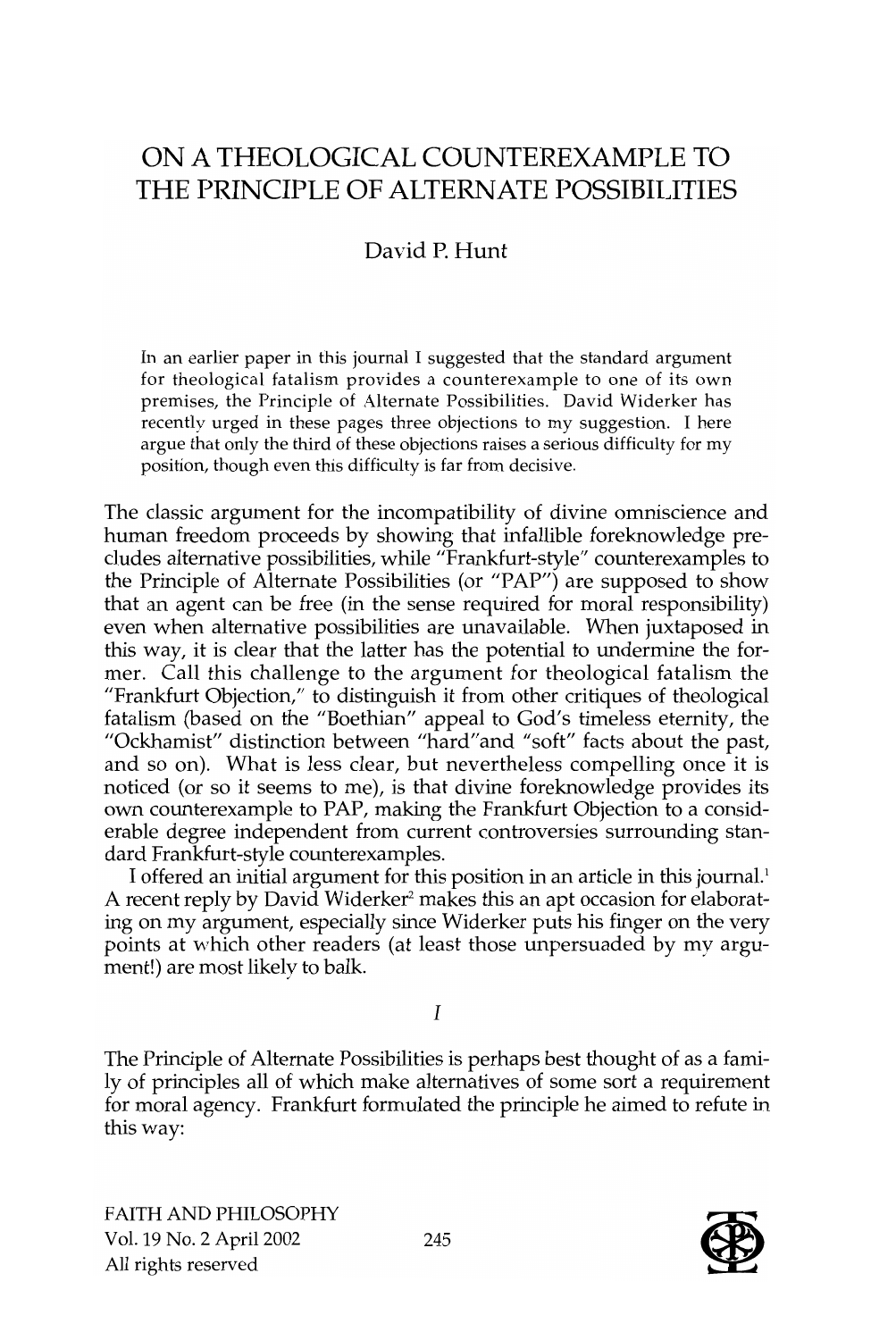### ON A THEOLOGICAL COUNTEREXAMPLE TO THE PRINCIPLE OF ALTERNATE POSSIBILITIES

### David P. Hunt

In an earlier paper in this journal I suggested that the standard argument for theological fatalism provides a counterexample to one of its own premises, the Principle of Alternate Possibilities. David Widerker has recently urged in these pages three objections to my suggestion. I here argue that only the third of these objections raises a serious difficulty for my position, though even this difficulty is far from decisive.

The classic argument for the incompatibility of divine omniscience and human freedom proceeds by showing that infallible foreknowledge precludes alternative possibilities, while "Frankfurt-style" counterexamples to the Principle of Alternate Possibilities (or "PAP") are supposed to show that an agent can be free (in the sense required for moral responsibility) even when alternative possibilities are unavailable. When juxtaposed in this way, it is clear that the latter has the potential to undermine the former. Call this challenge to the argument for theological fatalism the "Frankfurt Objection," to distinguish it from other critiques of theological fatalism (based on the "Boethian" appeal to God's timeless eternity, the "Ockhamist" distinction between "hard"and "soft" facts about the past, and so on). What is less clear, but nevertheless compelling once it is noticed (or so it seems to me), is that divine foreknowledge provides its own counterexample to PAP, making the Frankfurt Objection to a considerable degree independent from current controversies surrounding standard Frankfurt-style counterexamples.

T offered an initial argument for this position in an article in this journal.' A recent reply by David Widerker<sup>2</sup> makes this an apt occasion for elaborating on my argument, especially since Widerker puts his finger on the very points at which other readers (at least those unpersuaded by my argument!) are most likely to balk.

I

The Principle of Alternate Possibilities is perhaps best thought of as a family of principles all of which make alternatives of some sort a requirement for moral agency. Frankfurt formulated the principle he aimed to refute in this way:

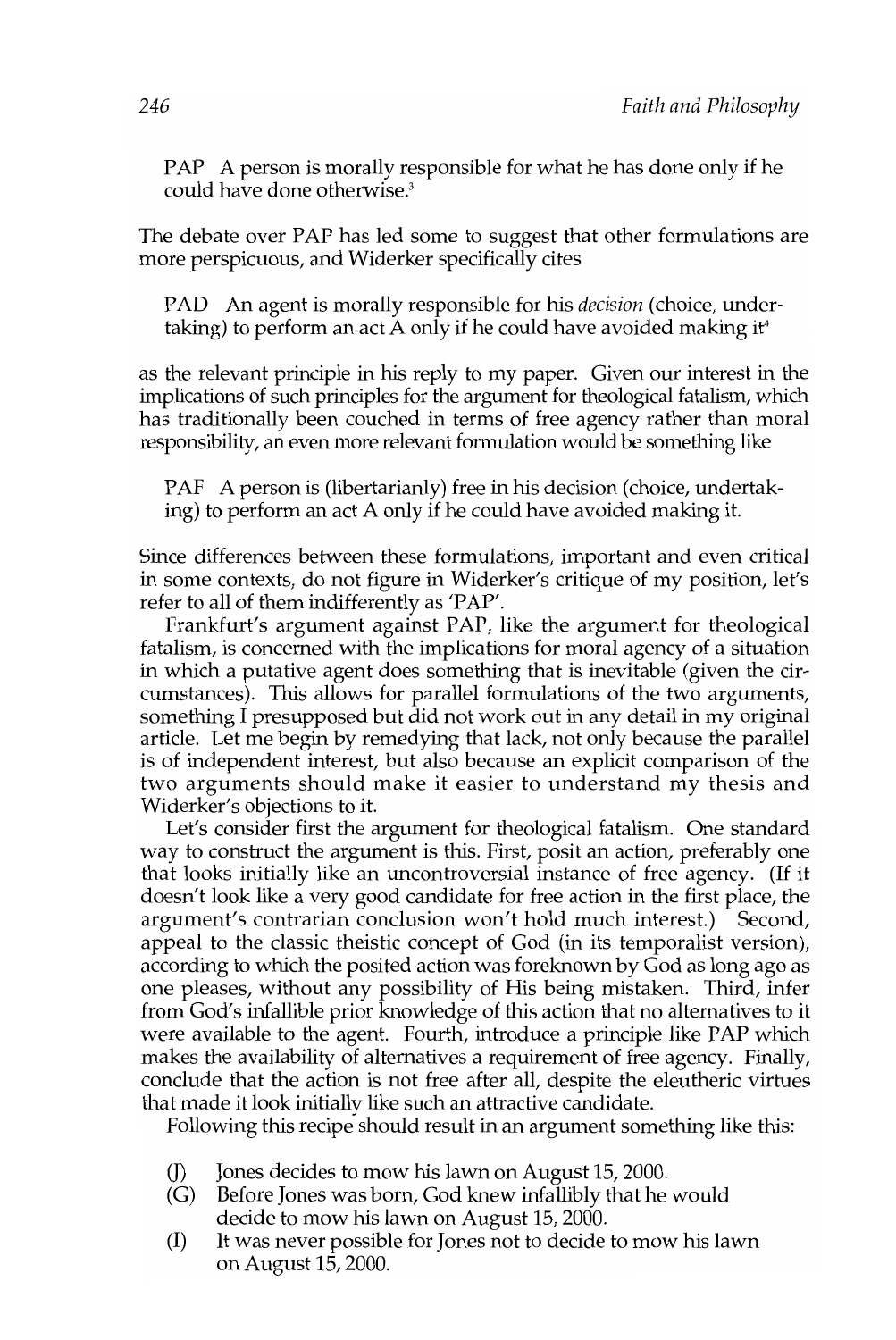PAP A person is morally responsible for what he has done only if he could have done otherwise.<sup>3</sup>

The debate over PAP has led some to suggest that other formulations are more perspicuous, and Widerker specifically cites

PAD An agent is morally responsible for his *decision* (choice, undertaking) to perform an act A only if he could have avoided making if

as the relevant principle in his reply to my paper. Given our interest in the implications of such principles for the argument for theological fatalism, which has traditionally been couched in terms of free agency rather than moral responsibility, an even more relevant formulation would be something like

PAF A person is (libertarianly) free in his decision (choice, undertaking) to perform an act A only if he could have avoided making it.

Since differences between these formulations, important and even critical in some contexts, do not figure in Widerker's critique of my position, let's refer to all of them indifferently as 'PAP'.

Frankfurt's argument against PAP, like the argument for theological fatalism, is concerned with the implications for moral agency of a situation in which a putative agent does something that is inevitable (given the circumstances). This allows for parallel formulations of the two arguments, something I presupposed but did not work out in any detail in my original article. Let me begin by remedying that lack, not only because the parallel is of independent interest, but also because an explicit comparison of the two arguments should make it easier to understand my thesis and Widerker's objections to it.

Let's consider first the argument for theological fatalism. One standard way to construct the argument is this. First, posit an action, preferably one that looks initially like an uncontroversial instance of free agency. (If it doesn't look like a very good candidate for free action in the first place, the argument's contrarian conclusion won't hold much interest.) Second, appeal to the classic theistic concept of God (in its temporalist version), according to which the posited action was foreknown by God as long ago as one pleases, without any possibility of His being mistaken. Third, infer from God's infallible prior knowledge of this action that no alternatives to it were available to the agent. Fourth, introduce a principle like PAP which makes the availability of alternatives a requirement of free agency. Finally, conclude that the action is not free after all, despite the eleutheric virtues that made it look initially like such an attractive candidate.

Following this recipe should result in an argument something like this:

- (J) Jones decides to mow his lawn on August 15, 2000.
- (G) Before Jones was born, God knew infallibly that he would decide to mow his lawn on August 15, 2000.
- (I) It was never possible for Jones not to decide to mow his lawn on August 15,2000.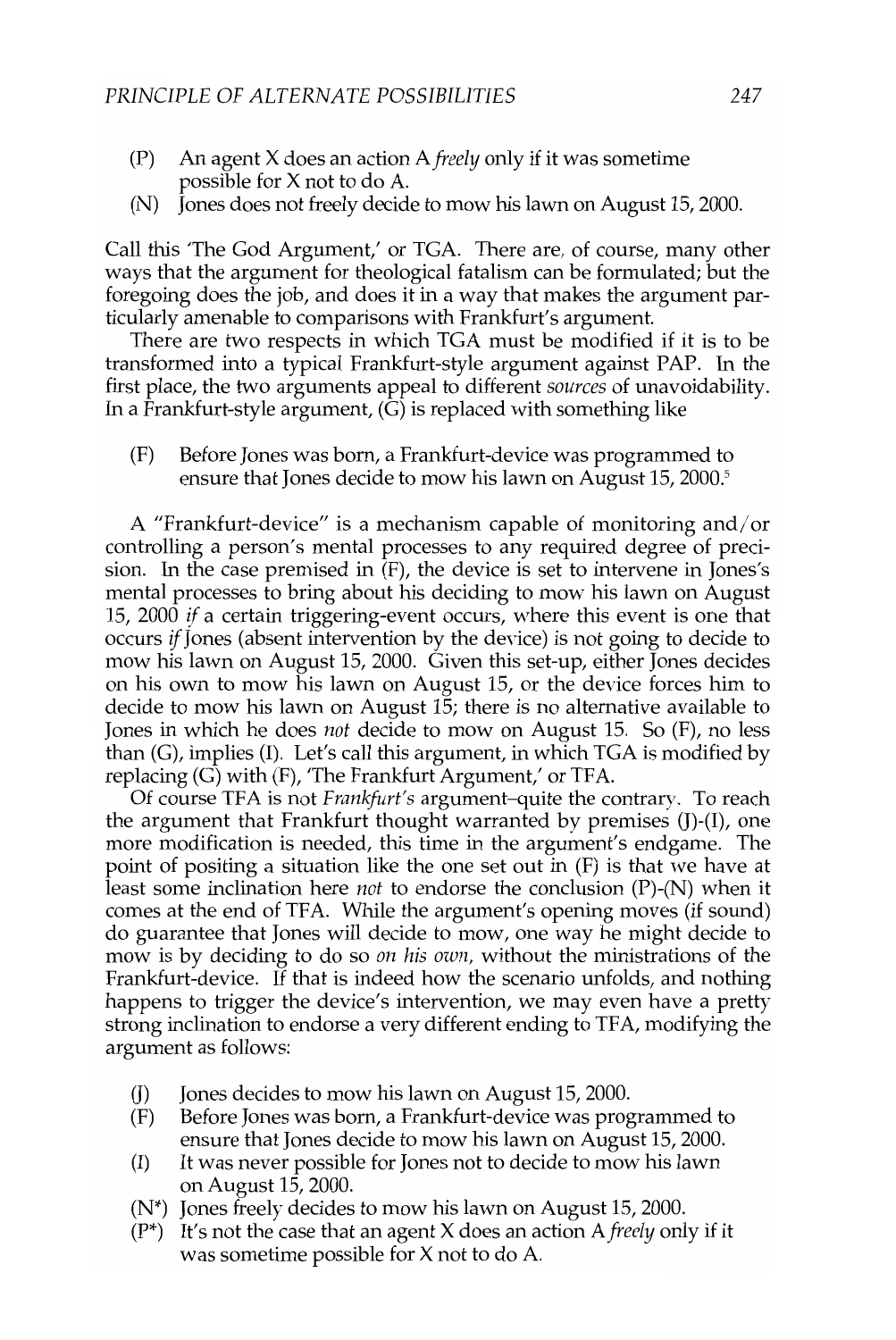- (P) An agent X does an action A *freely* only if it was sometime possible for X not to do A.
- (N) Jones does not freely decide to mow his lawn on August 15, 2000.

Call this 'The God Argument,' or TGA. There are, of course, many other ways that the argument for theological fatalism can be formulated; but the foregoing does the job, and does it in a way that makes the argument particularly amenable to comparisons with Frankfurt's argument.

There are two respects in which TGA must be modified if it is to be transformed into a typical Frankfurt-style argument against PAP. In the first place, the two arguments appeal to different *sources* of unavoidability. In a Frankfurt-style argument,  $(\tilde{G})$  is replaced with something like

(F) Before Jones was born, a Frankfurt-device was programmed to ensure that Jones decide to mow his lawn on August 15, 2000.<sup>5</sup>

A "Frankfurt-device" is a mechanism capable of monitoring and/or controlling a person's mental processes to any required degree of precision. In the case premised in (F), the device is set to intervene in Jones's mental processes to bring about his deciding to mow his lawn on August 15, 2000 if a certain triggering-event occurs, where this event is one that occurs if Jones (absent intervention by the device) is not going to decide to mow his lawn on August 15, 2000. Given this set-up, either Jones decides on his own to mow his lawn on August 15, or the device forces him to decide to mow his lawn on August 15; there is no alternative available to Jones in which he does *not* decide to mow on August 15. So (F), no less than (G), implies (I). Let's call this argument, in which TGA is modified by replacing (G) with (F), 'The Frankfurt Argument,' or TFA.

Of course TFA is not *Frankfllrt's* argument-quite the contrary. To reach the argument that Frankfurt thought warranted by premises (J)-(I), one more modification is needed, this time in the argument's endgame. The point of positing a situation like the one set out in (F) is that we have at least some inclination here *not* to endorse the conclusion (P)-(N) when it comes at the end of TFA. While the argument's opening moves (if sound) do guarantee that Jones will decide to mow, one way he might decide to mow is by deciding to do so *on his own,* without the ministrations of the Frankfurt-device. If that is indeed how the scenario unfolds, and nothing happens to trigger the device's intervention, we may even have a pretty strong inclination to endorse a very different ending to TFA, modifying the argument as follows:

- (J) Jones decides to mow his lawn on August 15, 2000.
- (F) Before Jones was born, a Frankfurt-device was programmed to ensure that Jones decide to mow his lawn on August 15, 2000.
- (I) It was never possible for Jones not to decide to mow his lawn on August 15, 2000.
- (N\*) Jones freely decides to mow his lawn on August 15, 2000.
- (P\*) It's not the case that an agent X does an action *Afreely* only if it was sometime possible for X not to do A.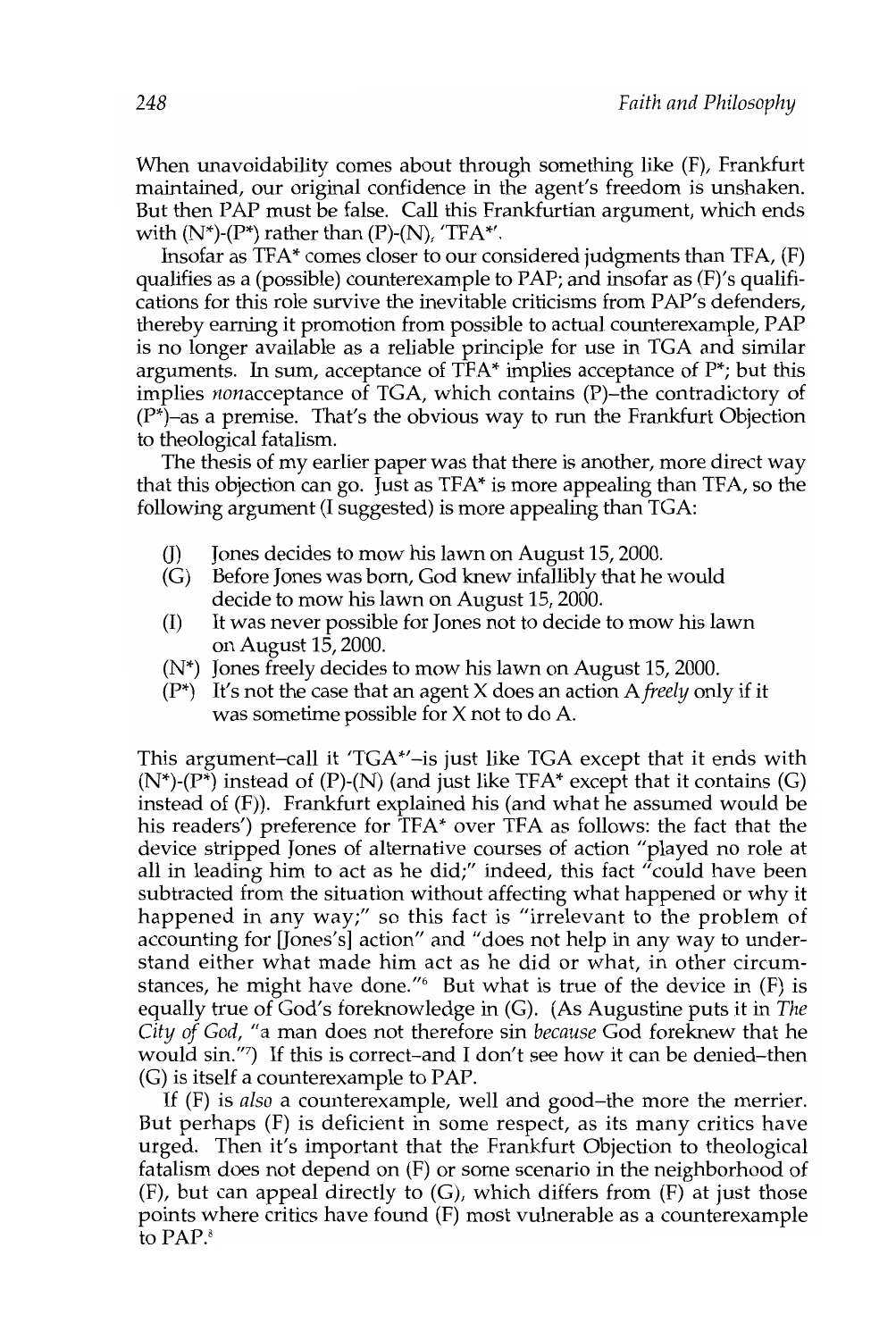When unavoidability comes about through something like (F), Frankfurt maintained, our original confidence in the agent's freedom is unshaken. But then PAP must be false. Call this Frankfurtian argument, which ends with  $(N^*)$ - $(P^*)$  rather than  $(P)$ - $(N)$ , 'TFA\*'.

Insofar as TFA\* comes closer to our considered judgments than TFA, (F) qualifies as a (possible) counterexample to PAP; and insofar as (F)'s qualifications for this role survive the inevitable criticisms from PAP's defenders, thereby earning it promotion from possible to actual counterexample, PAP is no longer available as a reliable principle for use in TGA and similar arguments. In sum, acceptance of  $TFA^*$  implies acceptance of  $P^*$ ; but this implies nonacceptance of TGA, which contains (P)-the contradictory of  $(P^*)$ -as a premise. That's the obvious way to run the Frankfurt Objection to theological fatalism.

The thesis of my earlier paper was that there is another, more direct way that this objection can go. Just as TFA\* is more appealing than TFA, so the following argument (1 suggested) is more appealing than TGA:

- (J) Jones decides to mow his lawn on August 15, 2000.
- (G) Before Jones was born, God knew infallibly that he would decide to mow his lawn on August 15, 2000.
- (1) It was never possible for Jones not to decide to mow his lawn on August 15, 2000.
- (N\*) Jones freely decides to mow his lawn on August 15, 2000.
- (P\*) It's not the case that an agent X does an action A *freely* only if it was sometime possible for X not to do A.

This argument-call it 'TGA $^*$ -is just like TGA except that it ends with  $(N^*)$ - $(P^*)$  instead of  $(P)$ - $(N)$  (and just like TFA\* except that it contains  $(G)$ ) instead of (F)). Frankfurt explained his (and what he assumed would be his readers') preference for TFA\* over TFA as follows: the fact that the device stripped Jones of alternative courses of action "played no role at all in leading him to act as he did;" indeed, this fact "could have been subtracted from the situation without affecting what happened or why it happened in any way;" so this fact is "irrelevant to the problem of accounting for [Jones's] action" and "does not help in any way to understand either what made him act as he did or what, in other circumstances, he might have done." But what is true of the device in  $(F)$  is equally true of God's foreknowledge in (G). (As Augustine puts it in *The City of God,* "a man does not therefore sin *because* God foreknew that he would sin."?) If this is correct-and I don't see how it can be denied-then (G) is itself a counterexample to PAP.

If (F) is *also* a counterexample, well and good-the more the merrier. But perhaps (F) is deficient in some respect, as its many critics have urged. Then it's important that the Frankfurt Objection to theological fatalism does not depend on (F) or some scenario in the neighborhood of (F), but can appeal directly to (G), which differs from (F) at just those points where critics have found (F) most vulnerable as a counterexample to PAP.<sup>8</sup>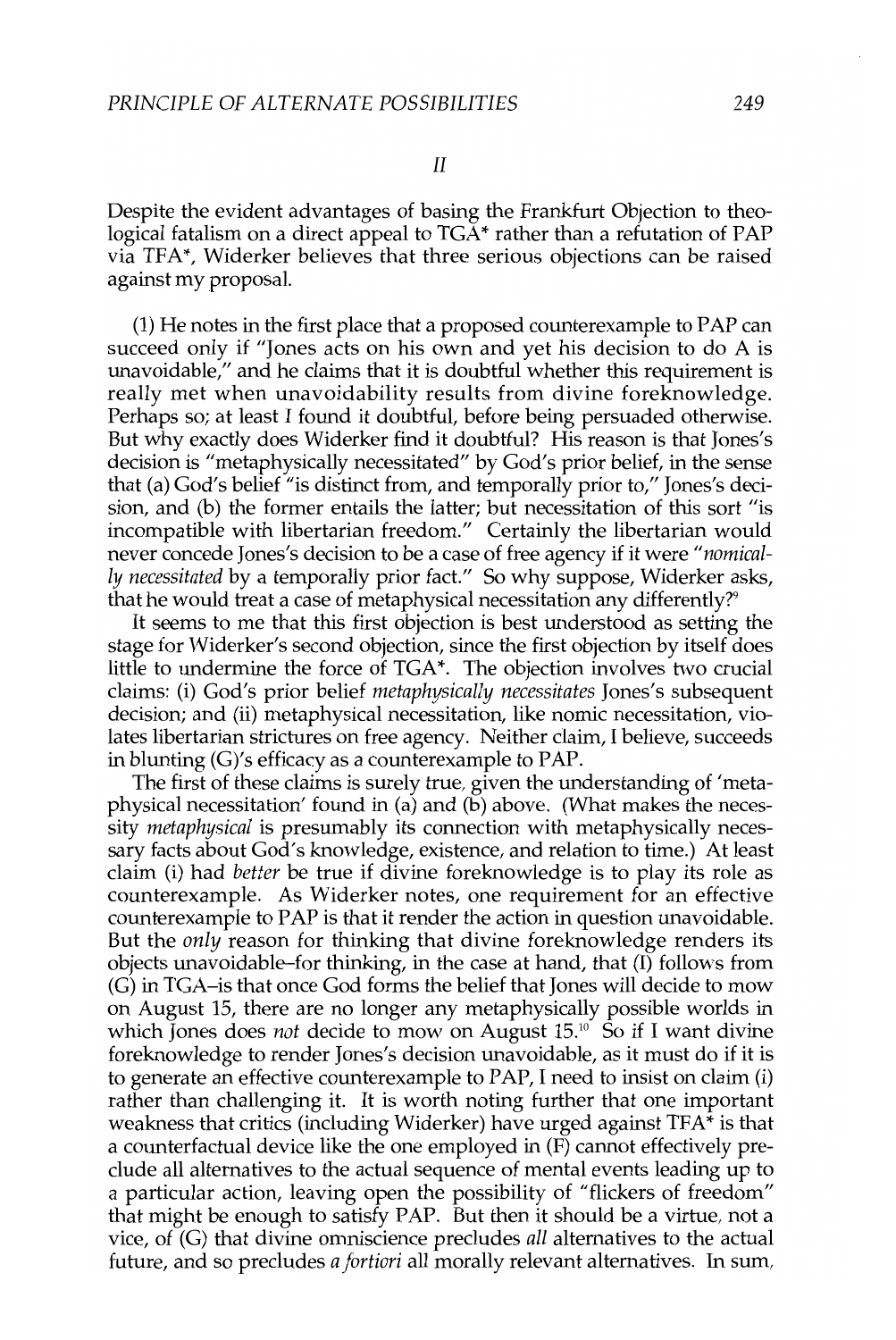Despite the evident advantages of basing the Frankfurt Objection to theological fatalism on a direct appeal to  $TGA*$  rather than a refutation of  $PAP$ via TFA\*, Widerker believes that three serious objections can be raised against my proposal.

(1) He notes in the first place that a proposed counterexample to PAP can succeed only if "Jones acts on his own and yet his decision to do A is unavoidable," and he claims that it is doubtful whether this requirement is really met when unavoidability results from divine foreknowledge. Perhaps so; at least I found it doubtful, before being persuaded otherwise. But why exactly does Widerker find it doubtful? His reason is that Jones's decision is "metaphysically necessitated" by God's prior belief, in the sense that (a) God's belief "is distinct from, and temporally prior to," Jones's decision, and (b) the former entails the latter; but necessitation of this sort "is incompatible with libertarian freedom." Certainly the libertarian would never concede Jones's decision to be a case of free agency if it were *"nomically necessitated* by a temporally prior fact." So why suppose, Widerker asks, that he would treat a case of metaphysical necessitation any differently?<sup>9</sup>

It seems to me that this first objection is best understood as setting the stage for Widerker's second objection, since the first objection by itself does little to undermine the force of TGA\*. The objection involves two crucial claims: (i) God's prior belief *metaphysically necessitates* Jones's subsequent decision; and (ii) metaphysical necessitation, like nomic necessitation, violates libertarian strictures on free agency. Neither claim, I believe, succeeds in blunting (G)'s efficacy as a counterexample to PAP.

The first of these claims is surely true, given the understanding of 'metaphysical necessitation' found in (a) and (b) above. (What makes the necessity *metaphysical* is presumably its connection with metaphysically necessary facts about God's knowledge, existence, and relation to time.) At least claim (i) had *better* be true if divine foreknowledge is to play its role as counterexample. As Widerker notes, one requirement for an effective counterexample to PAP is that it render the action in question unavoidable. But the *only* reason for thinking that divine foreknowledge renders its objects unavoidable-for thinking, in the case at hand, that (I) follows from (G) in TGA-is that once God forms the belief that Jones will decide to mow on August IS, there are no longer any metaphysically possible worlds in which Jones does *not* decide to mow on August 15.<sup>10</sup> So if I want divine foreknowledge to render Jones's decision unavoidable, as it must do if it is to generate an effective counterexample to PAP, I need to insist on claim (i) rather than challenging it. It is worth noting further that one important weakness that critics (including Widerker) have urged against TFA\* is that a counterfactual device like the one employed in (F) cannot effectively preclude all alternatives to the actual sequence of mental events leading up to a particular action, leaving open the possibility of "flickers of freedom" that might be enough to satisfy PAP. But then it should be a virtue, not a vice, of (G) that divine omniscience precludes *all* alternatives to the actual future, and so precludes *a fortiori* all morally relevant alternatives. In sum,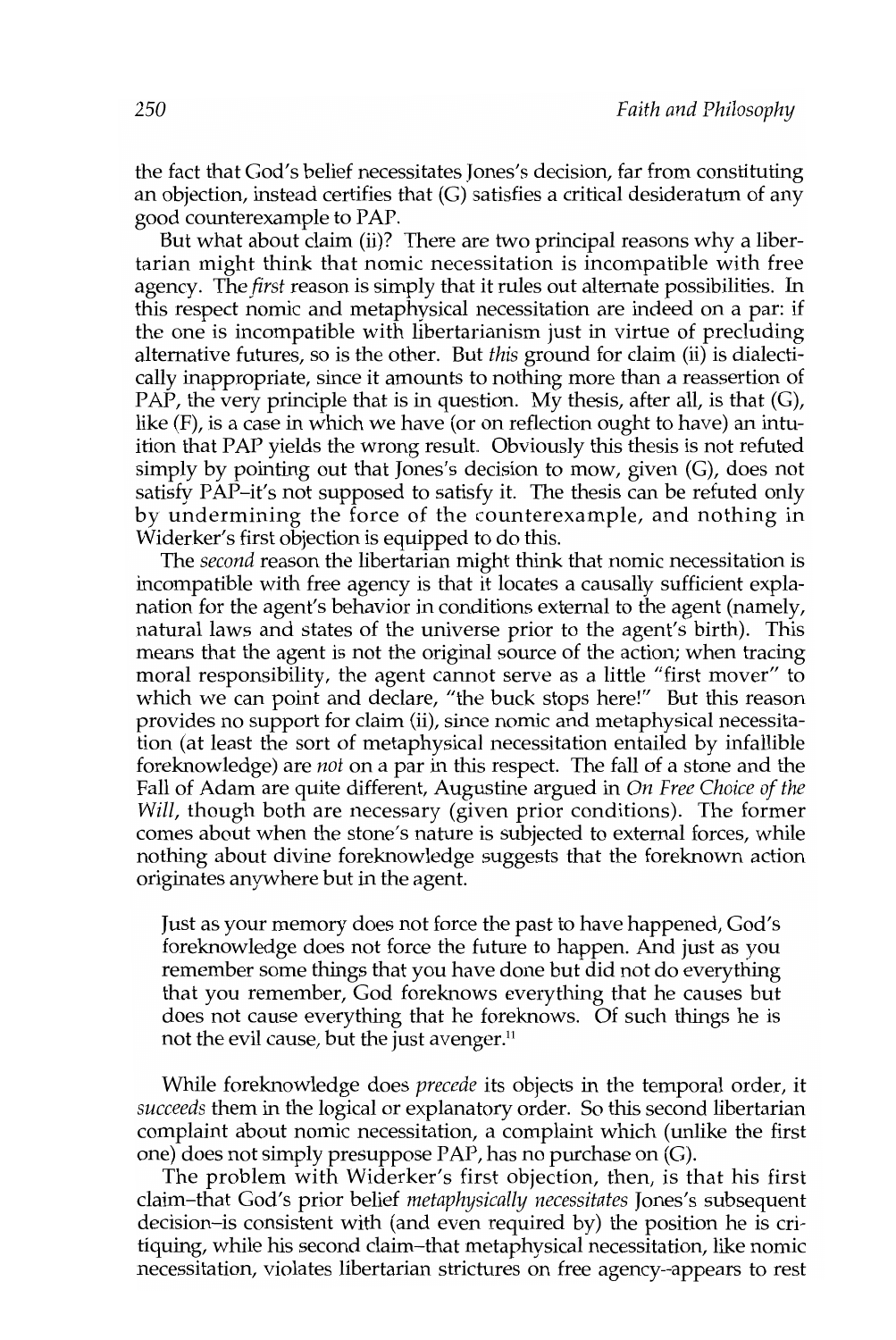the fact that God's belief necessitates Jones's decision, far from constituting an objection, instead certifies that (G) satisfies a critical desideratum of any good counterexample to PAP.

But what about claim (ii)? There are two principal reasons why a libertarian might think that nomic necessitation is incompatible with free agency. The *first* reason is simply that it rules out alternate possibilities. In this respect nomic and metaphysical necessitation are indeed on a par: if the one is incompatible with libertarianism just in virtue of precluding alternative futures, so is the other. But *this* ground for claim (ii) is dialectically inappropriate, since it amounts to nothing more than a reassertion of PAP, the very principle that is in question. My thesis, after all, is that  $(G)$ , like (F), is a case in which we have (or on reflection ought to have) an intuition that PAP yields the wrong result Obviously this thesis is not refuted simply by pointing out that Jones's decision to mow, given (G), does not satisfy PAP-it's not supposed to satisfy it. The thesis can be refuted only by undermining the force of the counterexample, and nothing in Widerker's first objection is equipped to do this.

The *second* reason the libertarian might think that nomic necessitation is incompatible with free agency is that it locates a causally sufficient explanation for the agent's behavior in conditions external to the agent (namely, natural laws and states of the universe prior to the agent's birth). This means that the agent is not the original source of the action; when tracing moral responsibility, the agent cannot serve as a little "first mover" to which we can point and declare, "the buck stops here!" But this reason provides no support for claim (ii), since nomic and metaphysical necessitation (at least the sort of metaphysical necessitation entailed by infallible foreknowledge) are *not* on a par in this respect. The fall of a stone and the Fall of Adam are quite different, Augustine argued in *On Free Choice of the Will,* though both are necessary (given prior conditions). The former comes about when the stone's nature is subjected to external forces, while nothing about divine foreknowledge suggests that the foreknown action originates anywhere but in the agent.

Just as your memory does not force the past to have happened, God's foreknowledge does not force the future to happen. And just as you remember some things that you have done but did not do everything that you remember, God foreknows everything that he causes but does not cause everything that he foreknows. Of such things he is not the evil cause, but the just avenger.<sup>11</sup>

While foreknowledge does *precede* its objects in the temporal order, it *succeeds* them in the logical or explanatory order. So this second libertarian complaint about nomic necessitation, a complaint which (unlike the first one) does not simply presuppose PAP, has no purchase on (G).

The problem with Widerker's first objection, then, is that his first claim-that God's prior belief *metaphysically necessitates* Jones's subsequent decision-is consistent with (and even required by) the position he is critiquing, while his second claim-that metaphysical necessitation, like nomic necessitation, violates libertarian strictures on free agency-appears to rest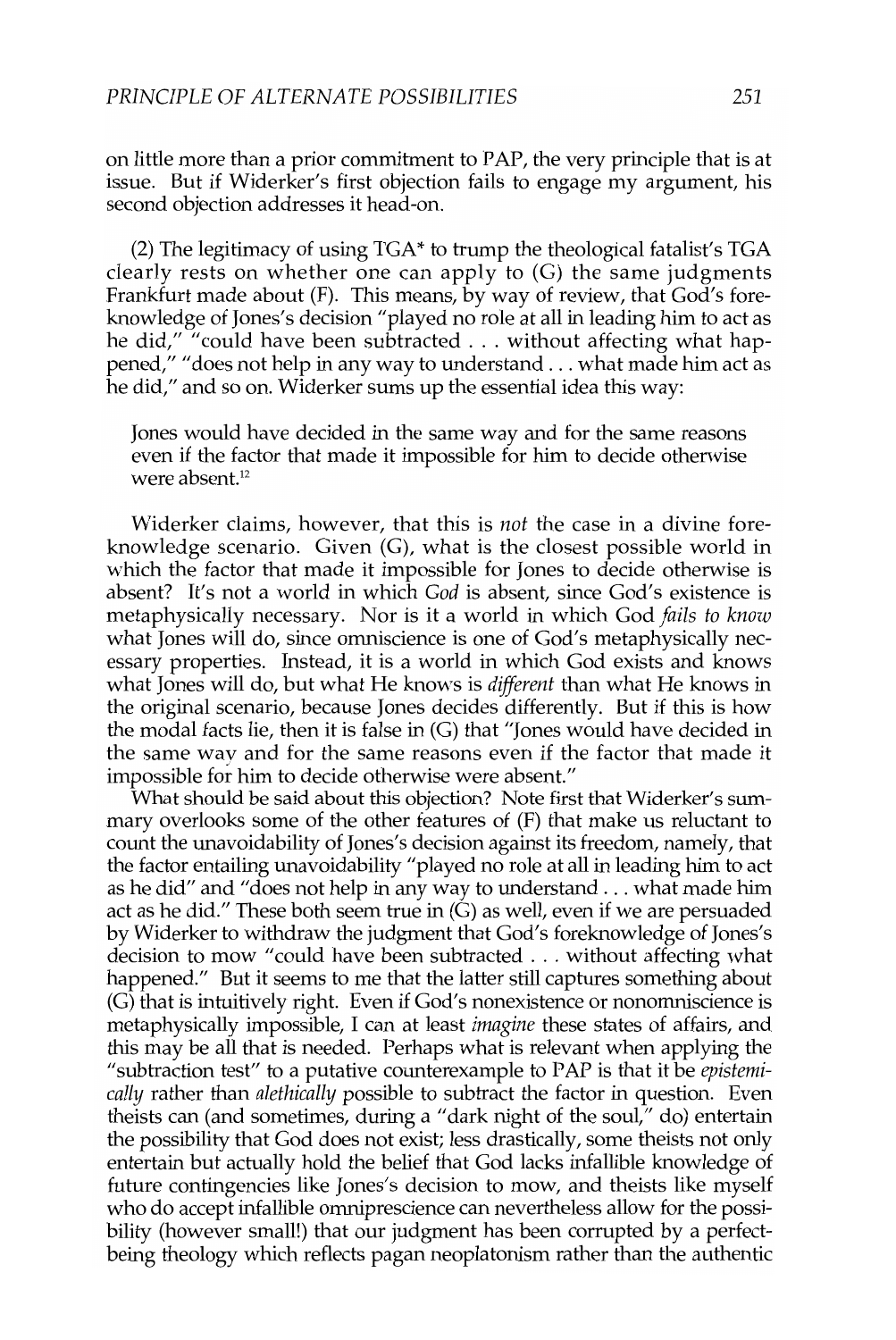on little more than a prior commitment to PAP, the very principle that is at issue. But if Widerker's first objection fails to engage my argument, his second objection addresses it head-on.

(2) The legitimacy of using  $TGA^*$  to trump the theological fatalist's  $TGA$ clearly rests on whether one can apply to (G) the same judgments Frankfurt made about (F). This means, by way of review, that God's foreknowledge of Jones's decision "played no role at all in leading him to act as he did," "could have been subtracted . . . without affecting what happened," "does not help in any way to understand ... what made him act as he did," and so on. Widerker sums up the essential idea this way:

Jones would have decided in the same way and for the same reasons even if the factor that made it impossible for him to decide otherwise were absent.<sup>12</sup>

Widerker claims, however, that this is *not* the case in a divine foreknowledge scenario. Given (G), what is the closest possible world in which the factor that made it impossible for Jones to decide otherwise is absent? It's not a world in which *God* is absent, since God's existence is metaphysically necessary. Nor is it a world in which God *fails to know*  what Jones will do, since omniscience is one of God's metaphysically necessary properties. Instead, it is a world in which God exists and knows what Jones will do, but what He knows is *different* than what He knows in the original scenario, because Jones decides differently. But if this is how the modal facts lie, then it is false in (G) that "Jones would have decided in the same way and for the same reasons even if the factor that made it impossible for him to decide otherwise were absent."

What should be said about this objection? Note first that Widerker's summary overlooks some of the other features of (F) that make us reluctant to count the unavoidability of Jones's decision against its freedom, namely, that the factor entailing unavoidability "played no role at all in leading him to act as he did" and "does not help in any way to understand ... what made him act as he did." These both seem true in (G) as well, even if we are persuaded by Widerker to withdraw the judgment that God's foreknowledge of Jones's decision to mow" could have been subtracted ... without affecting what happened." But it seems to me that the latter still captures something about (G) that is intuitively right. Even if God's nonexistence or nonomniscience is metaphysically impossible, I can at least *imagine* these states of affairs, and this may be all that is needed. Perhaps what is relevant when applying the "subtraction test" to a putative counterexample to PAP is that it be *epistemically* rather than *alethically* possible to subtract the factor in question. Even theists can (and sometimes, during a "dark night of the soul," do) entertain the possibility that God does not exist; less drastically, some theists not only entertain but actually hold the belief that God lacks infallible knowledge of future contingencies like Jones's decision to mow, and theists like myself who do accept infallible omniprescience can nevertheless allow for the possibility (however small!) that our judgment has been corrupted by a perfectbeing theology which reflects pagan neoplatonism rather than the authentic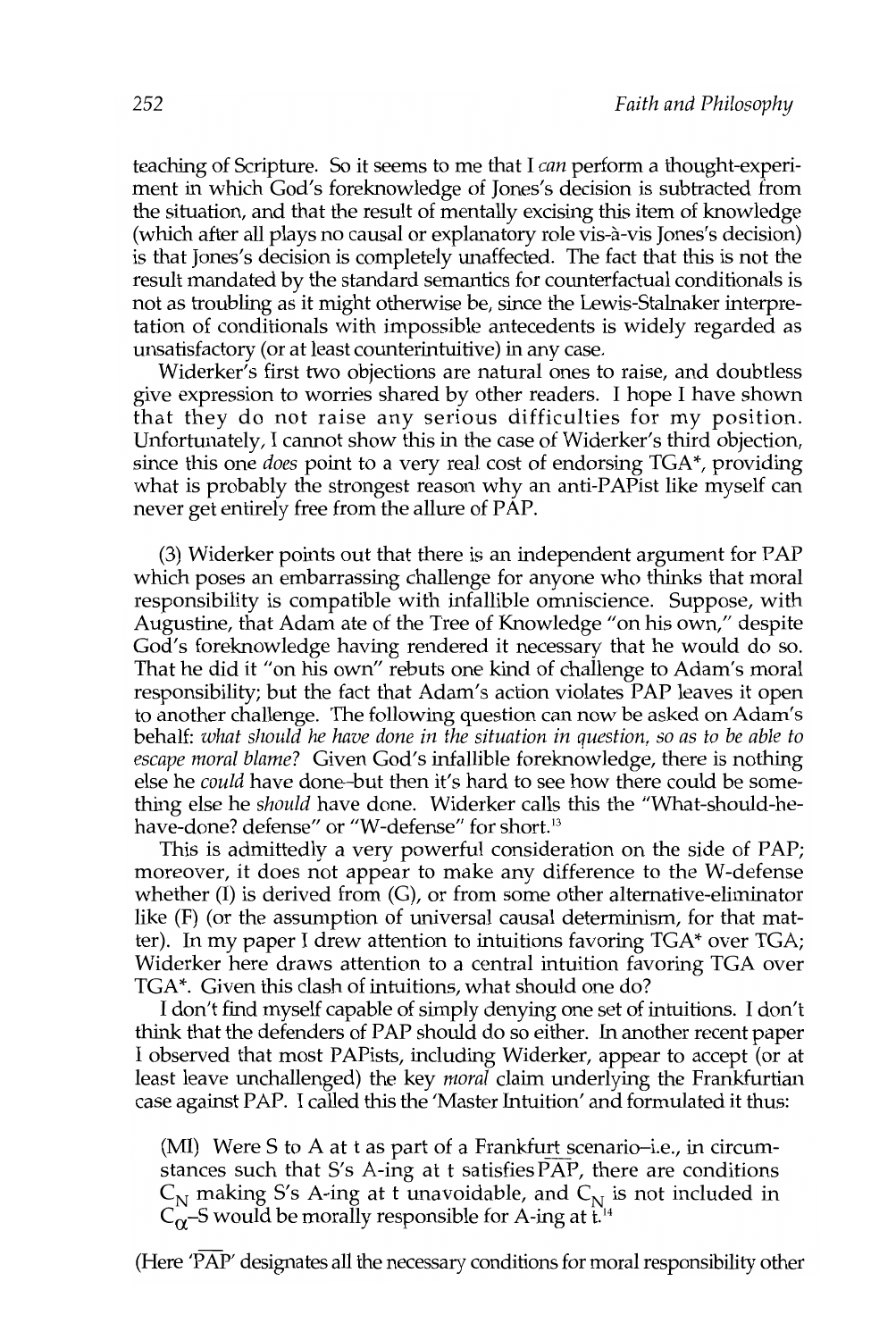teaching of Scripture. So it seems to me that I *can* perform a thought-experiment in which God's foreknowledge of Jones's decision is subtracted from the situation, and that the result of mentally excising this item of knowledge (which after all plays no causal or explanatory role vis-a-vis Jones's decision) is that Jones's decision is completely unaffected. The fact that this is not the result mandated by the standard semantics for counterfactual conditionals is not as troubling as it might otherwise be, since the Lewis-Stalnaker interpretation of conditionals with impossible antecedents is widely regarded as unsatisfactory (or at least counterintuitive) in any case.

Widerker's first two objections are natural ones to raise, and doubtless give expression to worries shared by other readers. I hope I have shown that they do not raise any serious difficulties for my position. Unfortunately, I cannot show this in the case of Widerker's third objection, since this one *does* point to a very real cost of endorsing TGA\*, providing what is probably the strongest reason why an anti-PAPist like myself can never get entirely free from the allure of PAP.

(3) Widerker points out that there is an independent argument for PAP which poses an embarrassing challenge for anyone who thinks that moral responsibility is compatible with infallible omniscience. Suppose, with Augustine, that Adam ate of the Tree of Knowledge "on his own," despite God's foreknowledge having rendered it necessary that he would do so. That he did it "on his own" rebuts one kind of challenge to Adam's moral responsibility; but the fact that Adam's action violates PAP leaves it open to another challenge. The following question can now be asked on Adam's behalf: *what should he have done in the situation* in *question,* so *as to be able to escape moral blame?* Given God's infallible foreknowledge, there is nothing else he *could* have done-but then it's hard to see how there could be something else he *should* have done. Widerker calls this the "What-should-hehave-done? defense" or "W-defense" for short.<sup>13</sup>

This is admittedly a very powerful consideration on the side of PAP; moreover, it does not appear to make any difference to the W-defense whether  $(I)$  is derived from  $(G)$ , or from some other alternative-eliminator like (F) (or the assumption of universal causal determinism, for that matter). In my paper I drew attention to intuitions favoring  $TGA^*$  over  $TGA$ ; Widerker here draws attention to a central intuition favoring TGA over TGA\*. Given this clash of intuitions, what should one do?

I don't find myself capable of simply denying one set of intuitions. I don't think that the defenders of PAP should do so either. In another recent paper I observed that most PAPists, including Widerker, appear to accept (or at least leave unchallenged) the key *moral* claim underlying the Frankfurtian case against PAP. I called this the 'Master Intuition' and formulated it thus:

(MI) Were S to A at t as part of a Frankfurt scenario-i.e., in circumstances such that S's A-ing at t satisfies PAP, there are conditions  $C_{\text{N}}$  making S's A-ing at t unavoidable, and  $C_{\text{N}}$  is not included in  $C_{\alpha}$ –S would be morally responsible for A-ing at t.<sup>14</sup>

(Here 'PAP' designates all the necessary conditions for moral responsibility other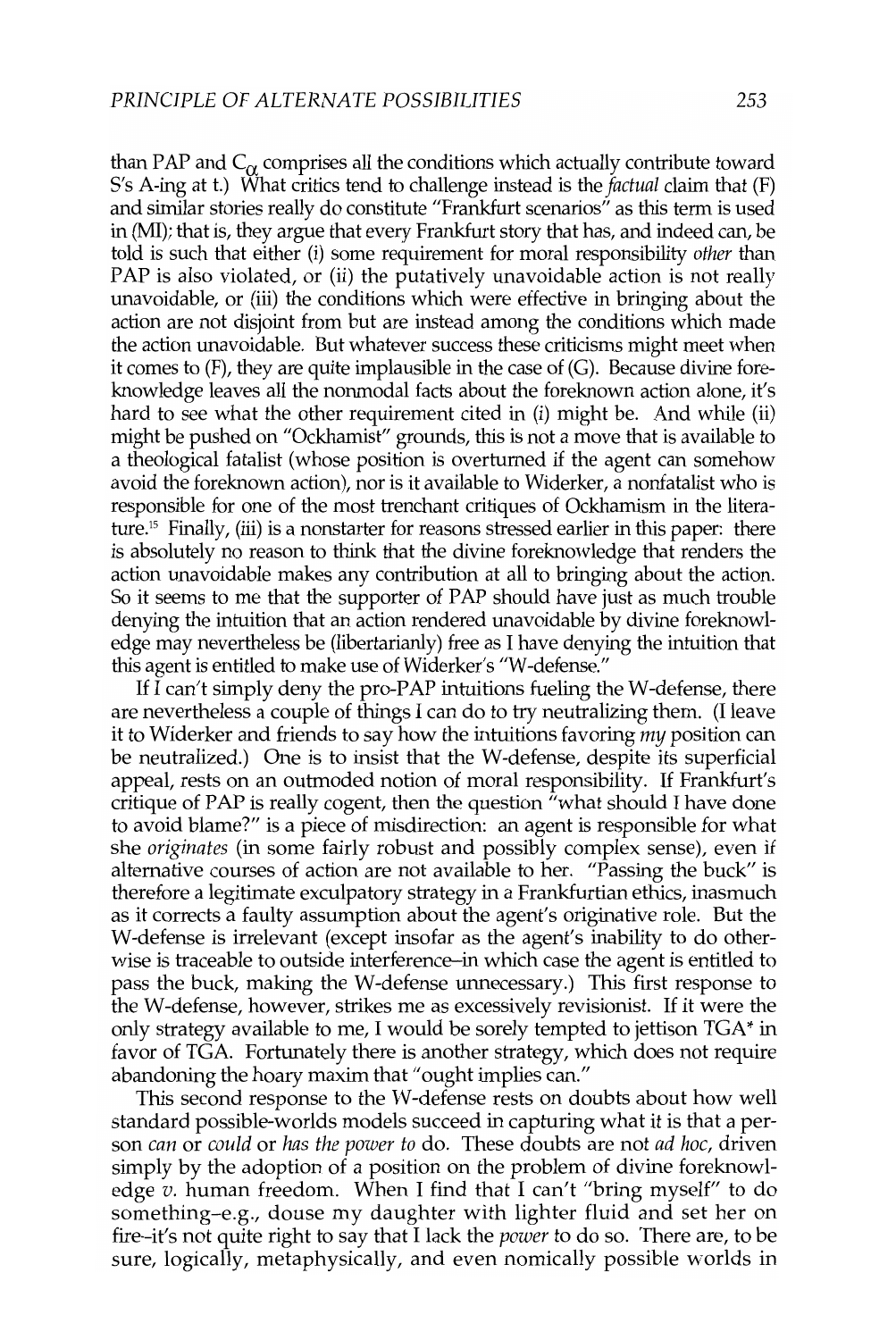than PAP and  $C_{\alpha}$  comprises all the conditions which actually contribute toward S's A-ing at t.) What critics tend to challenge instead is the *factual* claim that (F) and similar stories really do constitute "Frankfurt scenarios" as this term is used in (MI); that is, they argue that every Frankfurt story that has, and indeed can, be told is such that either (i) some requirement for moral responsibility *other* than PAP is also violated, or (ii) the putatively unavoidable action is not really unavoidable, or (iii) the conditions which were effective in bringing about the action are not disjoint from but are instead among the conditions which made the action unavoidable. But whatever success these criticisms might meet when it comes to (F), they are quite implausible in the case of (G). Because divine foreknowledge leaves all the nonmodal facts about the foreknown action alone, it's hard to see what the other requirement cited in (i) might be. And while (ii) might be pushed on "Ockhamist" grounds, this is not a move that is available to a theological fatalist (whose position is overturned if the agent can somehow avoid the foreknown action), nor is it available to Widerker, a nonfatalist who is responsible for one of the most trenchant critiques of Ockhamism in the literature.<sup>15</sup> Finally, (iii) is a nonstarter for reasons stressed earlier in this paper: there is absolutely no reason to think that the divine foreknowledge that renders the action unavoidable makes any contribution at all to bringing about the action. So it seems to me that the supporter of PAP should have just as much trouble denying the intuition that an action rendered unavoidable by divine foreknowledge may nevertheless be (libertarianly) free as I have denying the intuition that this agent is entitled to make use of Widerker's "W -defense."

If I can't simply deny the pro-PAP intuitions fueling the W -defense, there are nevertheless a couple of things 1 can do to try neutralizing them. (I leave it to Widerker and friends to say how the intuitions favoring *my* position can be neutralized.) One is to insist that the W-defense, despite its superficial appeal, rests on an outmoded notion of moral responsibility. If Frankfurt's critique of PAP is really cogent, then the question  $\tilde{f}$  what should I have done to avoid blame?" is a piece of misdirection: an agent is responsible for what she *originates* (in some fairly robust and possibly complex sense), even if alternative courses of action are not available to her. "Passing the buck" is therefore a legitimate exculpatory strategy in a Frankfurtian ethics, inasmuch as it corrects a faulty assumption about the agent's originative role. But the W-defense is irrelevant (except insofar as the agent's inability to do otherwise is traceable to outside interference-in which case the agent is entitled to pass the buck, making the W-defense unnecessary.) This first response to the W-defense, however, strikes me as excessively revisionist. If it were the only strategy available to me, 1 would be sorely tempted to jettison TGA\* in favor of TGA. Fortunately there is another strategy, which does not require abandoning the hoary maxim that "ought implies can."

This second response to the W-defense rests on doubts about how well standard possible-worlds models succeed in capturing what it is that a person *can* or *could* or *has the power to* do. These doubts are not *ad hoc,* driven simply by the adoption of a position on the problem of divine foreknowledge *v.* human freedom. When I find that 1 can't "bring myself" to do something-e.g., douse my daughter with lighter fluid and set her on fire-it's not quite right to say that 1 lack the *power* to do so. There are, to be sure, logically, metaphysically, and even nomically possible worlds in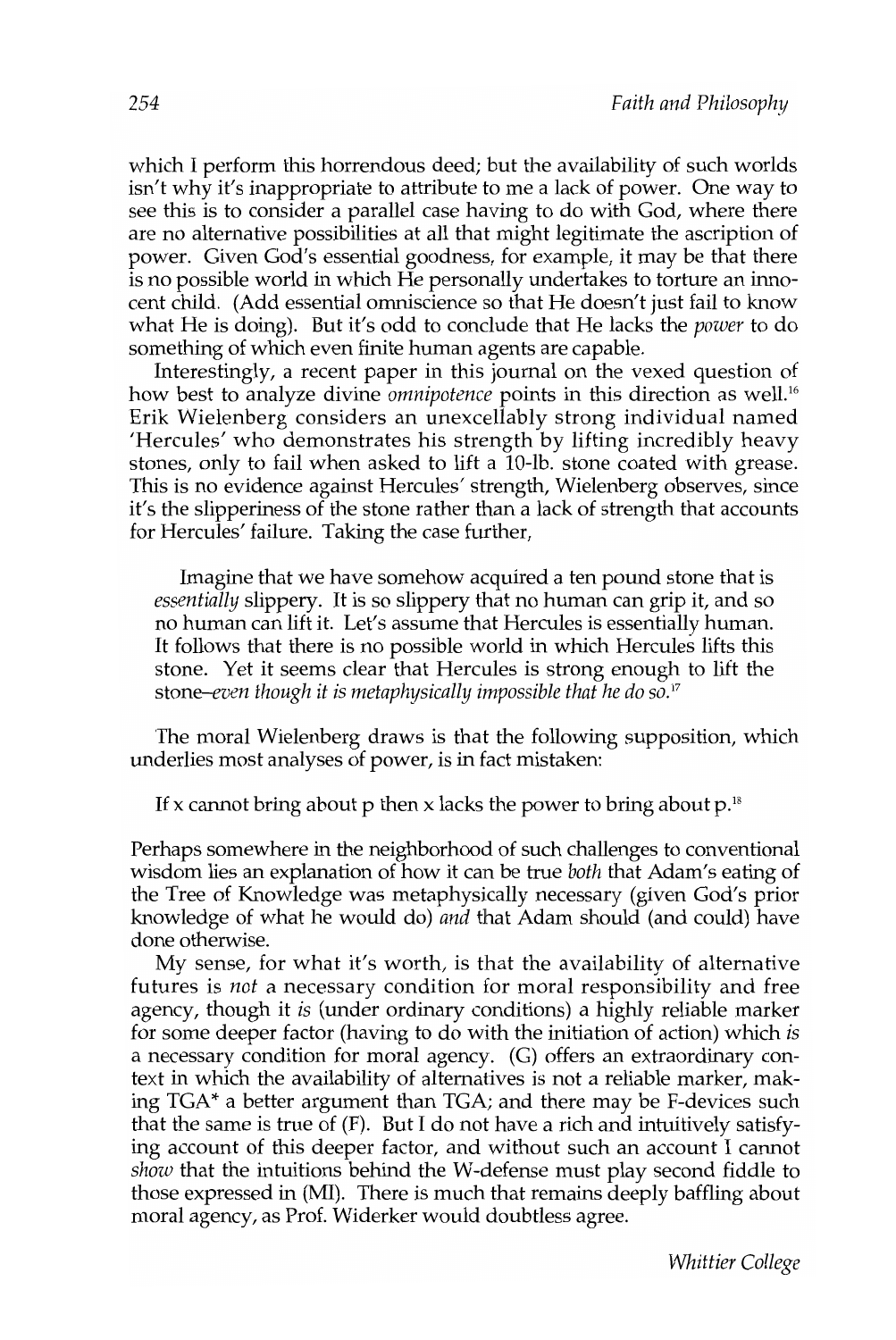which I perform this horrendous deed; but the availability of such worlds isn't why it's inappropriate to attribute to me a lack of power. One way to see this is to consider a parallel case having to do with God, where there are no alternative possibilities at all that might legitimate the ascription of power. Given God's essential goodness, for example, it may be that there is no possible world in which He personally undertakes to torture an innocent child. (Add essential omniscience so that He doesn't just fail to know what He is doing). But it's odd to conclude that He lacks the *power* to do something of which even finite human agents are capable.

Interestingly, a recent paper in this journal on the vexed question of how best to analyze divine *omnipotence* points in this direction as well.<sup>16</sup> Erik Wielenberg considers an unexcellably strong individual named 'Hercules' who demonstrates his strength by lifting incredibly heavy stones, only to fail when asked to lift a lO-lb. stone coated with grease. This is no evidence against Hercules' strength, Wielenberg observes, since it's the slipperiness of the stone rather than a lack of strength that accounts for Hercules' failure. Taking the case further,

Imagine that we have somehow acquired a ten pound stone that is *essentially* slippery. It is so slippery that no human can grip it, and so no human can lift it. Let's assume that Hercules is essentially human. It follows that there is no possible world in which Hercules lifts this stone. Yet it seems clear that Hercules is strong enough to lift the *stone-even though it is metaphysically impossible that he do SO.17* 

The moral Wielenberg draws is that the following supposition, which underlies most analyses of power, is in fact mistaken:

If x cannot bring about p then x lacks the power to bring about  $p$ .<sup>18</sup>

Perhaps somewhere in the neighborhood of such challenges to conventional wisdom lies an explanation of how it can be true *both* that Adam's eating of the Tree of Knowledge was metaphysically necessary (given God's prior knowledge of what he would do) *and* that Adam should (and could) have done otherwise.

My sense, for what it's worth, is that the availability of alternative futures is *not* a necessary condition for moral responsibility and free agency, though it *is* (under ordinary conditions) a highly reliable marker for some deeper factor (having to do with the initiation of action) which *is*  a necessary condition for moral agency. (G) offers an extraordinary context in which the availability of alternatives is not a reliable marker, making TGA\* a better argument than TGA; and there may be F-devices such that the same is true of (F). But I do not have a rich and intuitively satisfying account of this deeper factor, and without such an account I cannot *show* that the intuitions behind the W-defense must play second fiddle to those expressed in (MI). There is much that remains deeply baffling about moral agency, as Prof. Widerker would doubtless agree.

*Whittier College*